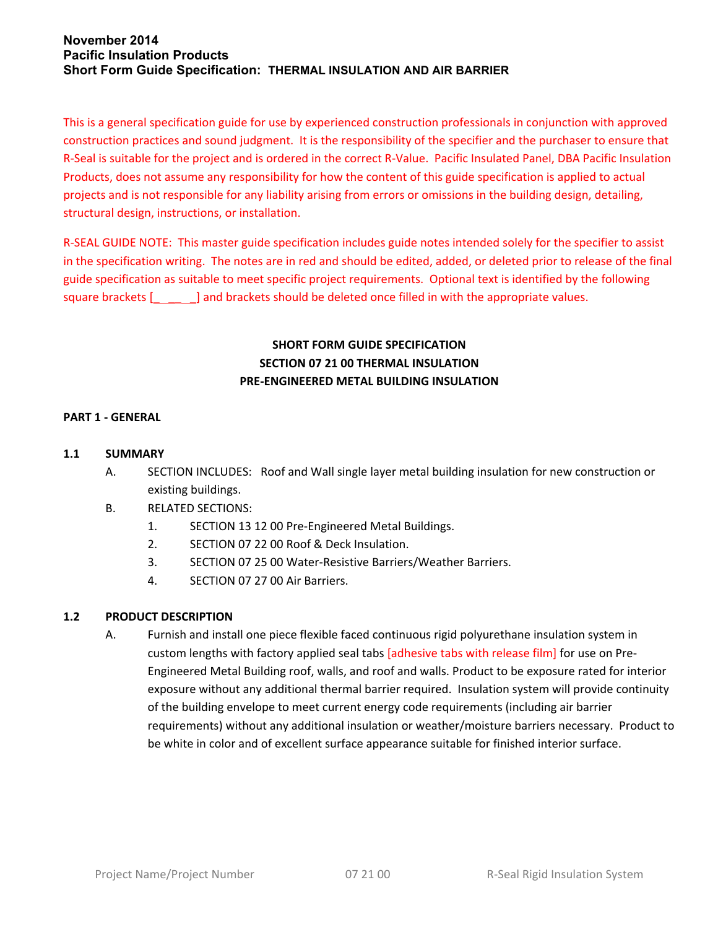This is a general specification guide for use by experienced construction professionals in conjunction with approved construction practices and sound judgment. It is the responsibility of the specifier and the purchaser to ensure that R-Seal is suitable for the project and is ordered in the correct R-Value. Pacific Insulated Panel, DBA Pacific Insulation Products, does not assume any responsibility for how the content of this guide specification is applied to actual projects and is not responsible for any liability arising from errors or omissions in the building design, detailing, structural design, instructions, or installation.

R-SEAL GUIDE NOTE: This master guide specification includes guide notes intended solely for the specifier to assist in the specification writing. The notes are in red and should be edited, added, or deleted prior to release of the final guide specification as suitable to meet specific project requirements. Optional text is identified by the following square brackets [  $\qquad$  ] and brackets should be deleted once filled in with the appropriate values.

# **SHORT FORM GUIDE SPECIFICATION SECTION 07 21 00 THERMAL INSULATION PRE-ENGINEERED METAL BUILDING INSULATION**

### **PART 1 - GENERAL**

#### **1.1 SUMMARY**

- A. SECTION INCLUDES: Roof and Wall single layer metal building insulation for new construction or existing buildings.
- B. RELATED SECTIONS:
	- 1. SECTION 13 12 00 Pre-Engineered Metal Buildings.
	- 2. SECTION 07 22 00 Roof & Deck Insulation.
	- 3. SECTION 07 25 00 Water-Resistive Barriers/Weather Barriers.
	- 4. SECTION 07 27 00 Air Barriers.

## **1.2 PRODUCT DESCRIPTION**

A. Furnish and install one piece flexible faced continuous rigid polyurethane insulation system in custom lengths with factory applied seal tabs [adhesive tabs with release film] for use on Pre-Engineered Metal Building roof, walls, and roof and walls. Product to be exposure rated for interior exposure without any additional thermal barrier required. Insulation system will provide continuity of the building envelope to meet current energy code requirements (including air barrier requirements) without any additional insulation or weather/moisture barriers necessary. Product to be white in color and of excellent surface appearance suitable for finished interior surface.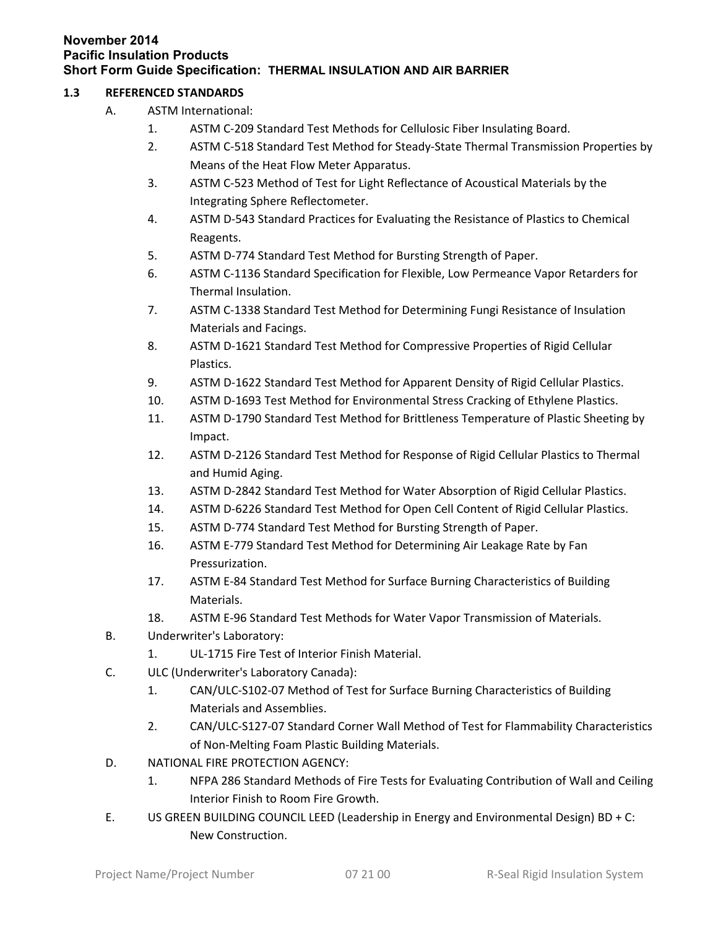### **1.3 REFERENCED STANDARDS**

- A. ASTM International:
	- 1. ASTM C-209 Standard Test Methods for Cellulosic Fiber Insulating Board.
	- 2. ASTM C-518 Standard Test Method for Steady-State Thermal Transmission Properties by Means of the Heat Flow Meter Apparatus.
	- 3. ASTM C-523 Method of Test for Light Reflectance of Acoustical Materials by the Integrating Sphere Reflectometer.
	- 4. ASTM D-543 Standard Practices for Evaluating the Resistance of Plastics to Chemical Reagents.
	- 5. ASTM D-774 Standard Test Method for Bursting Strength of Paper.
	- 6. ASTM C-1136 Standard Specification for Flexible, Low Permeance Vapor Retarders for Thermal Insulation.
	- 7. ASTM C-1338 Standard Test Method for Determining Fungi Resistance of Insulation Materials and Facings.
	- 8. ASTM D-1621 Standard Test Method for Compressive Properties of Rigid Cellular Plastics.
	- 9. ASTM D-1622 Standard Test Method for Apparent Density of Rigid Cellular Plastics.
	- 10. ASTM D-1693 Test Method for Environmental Stress Cracking of Ethylene Plastics.
	- 11. ASTM D-1790 Standard Test Method for Brittleness Temperature of Plastic Sheeting by Impact.
	- 12. ASTM D-2126 Standard Test Method for Response of Rigid Cellular Plastics to Thermal and Humid Aging.
	- 13. ASTM D-2842 Standard Test Method for Water Absorption of Rigid Cellular Plastics.
	- 14. ASTM D-6226 Standard Test Method for Open Cell Content of Rigid Cellular Plastics.
	- 15. ASTM D-774 Standard Test Method for Bursting Strength of Paper.
	- 16. ASTM E-779 Standard Test Method for Determining Air Leakage Rate by Fan Pressurization.
	- 17. ASTM E-84 Standard Test Method for Surface Burning Characteristics of Building Materials.
	- 18. ASTM E-96 Standard Test Methods for Water Vapor Transmission of Materials.
- B. Underwriter's Laboratory:
	- 1. UL-1715 Fire Test of Interior Finish Material.
- C. ULC (Underwriter's Laboratory Canada):
	- 1. CAN/ULC-S102-07 Method of Test for Surface Burning Characteristics of Building Materials and Assemblies.
	- 2. CAN/ULC-S127-07 Standard Corner Wall Method of Test for Flammability Characteristics of Non-Melting Foam Plastic Building Materials.
- D. NATIONAL FIRE PROTECTION AGENCY:
	- 1. NFPA 286 Standard Methods of Fire Tests for Evaluating Contribution of Wall and Ceiling Interior Finish to Room Fire Growth.
- E. US GREEN BUILDING COUNCIL LEED (Leadership in Energy and Environmental Design) BD + C: New Construction.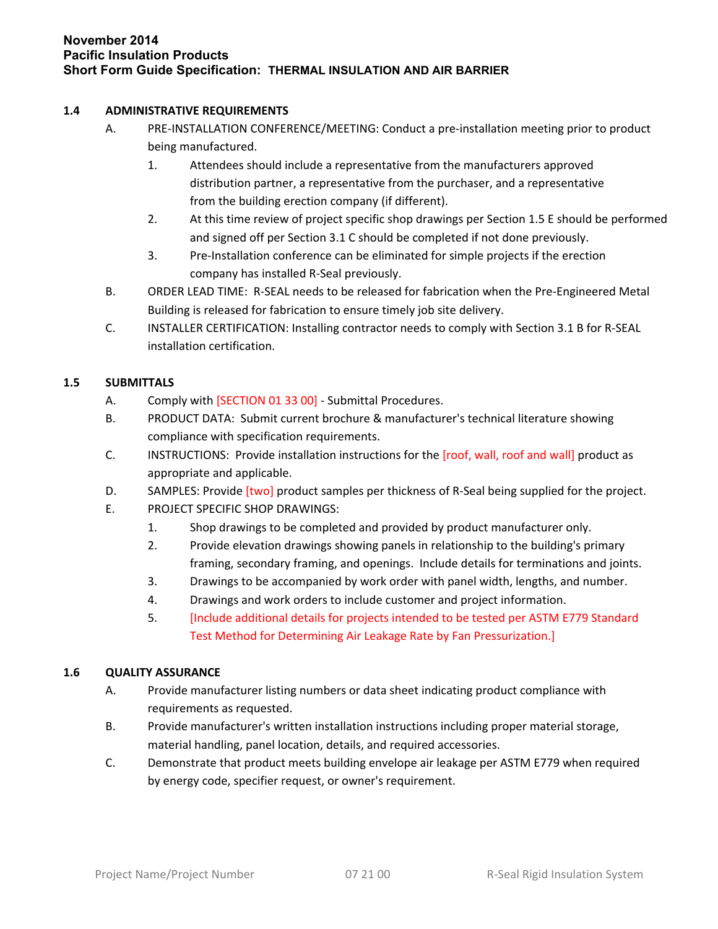### **1.4 ADMINISTRATIVE REQUIREMENTS**

- A. PRE-INSTALLATION CONFERENCE/MEETING: Conduct a pre-installation meeting prior to product being manufactured.
	- 1. Attendees should include a representative from the manufacturers approved distribution partner, a representative from the purchaser, and a representative from the building erection company (if different).
	- 2. At this time review of project specific shop drawings per Section 1.5 E should be performed and signed off per Section 3.1 C should be completed if not done previously.
	- 3. Pre-Installation conference can be eliminated for simple projects if the erection company has installed R-Seal previously.
- B. ORDER LEAD TIME: R-SEAL needs to be released for fabrication when the Pre-Engineered Metal Building is released for fabrication to ensure timely job site delivery.
- C. INSTALLER CERTIFICATION: Installing contractor needs to comply with Section 3.1 B for R-SEAL installation certification.

## **1.5 SUBMITTALS**

- A. Comply with [SECTION 01 33 00] Submittal Procedures.
- B. PRODUCT DATA: Submit current brochure & manufacturer's technical literature showing compliance with specification requirements.
- C. INSTRUCTIONS: Provide installation instructions for the [roof, wall, roof and wall] product as appropriate and applicable.
- D. SAMPLES: Provide *[two]* product samples per thickness of R-Seal being supplied for the project.
- E. PROJECT SPECIFIC SHOP DRAWINGS:
	- 1. Shop drawings to be completed and provided by product manufacturer only.
	- 2. Provide elevation drawings showing panels in relationship to the building's primary framing, secondary framing, and openings. Include details for terminations and joints.
	- 3. Drawings to be accompanied by work order with panel width, lengths, and number.
	- 4. Drawings and work orders to include customer and project information.
	- 5. [Include additional details for projects intended to be tested per ASTM E779 Standard Test Method for Determining Air Leakage Rate by Fan Pressurization.]

## **1.6 QUALITY ASSURANCE**

- A. Provide manufacturer listing numbers or data sheet indicating product compliance with requirements as requested.
- B. Provide manufacturer's written installation instructions including proper material storage, material handling, panel location, details, and required accessories.
- C. Demonstrate that product meets building envelope air leakage per ASTM E779 when required by energy code, specifier request, or owner's requirement.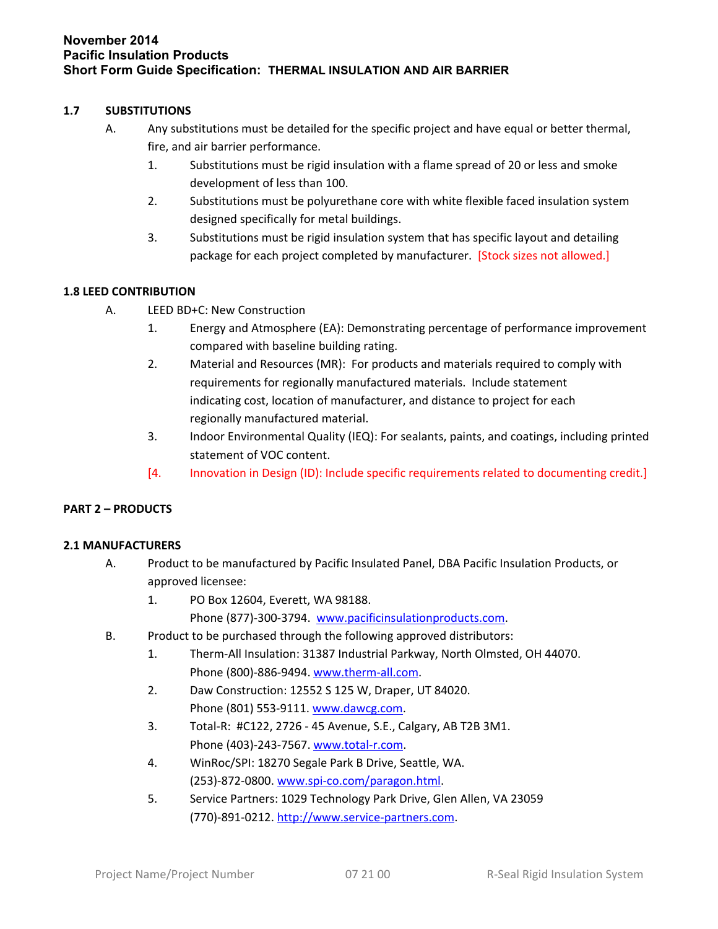### **1.7 SUBSTITUTIONS**

- A. Any substitutions must be detailed for the specific project and have equal or better thermal, fire, and air barrier performance.
	- 1. Substitutions must be rigid insulation with a flame spread of 20 or less and smoke development of less than 100.
	- 2. Substitutions must be polyurethane core with white flexible faced insulation system designed specifically for metal buildings.
	- 3. Substitutions must be rigid insulation system that has specific layout and detailing package for each project completed by manufacturer. [Stock sizes not allowed.]

## **1.8 LEED CONTRIBUTION**

- A. LEED BD+C: New Construction
	- 1. Energy and Atmosphere (EA): Demonstrating percentage of performance improvement compared with baseline building rating.
	- 2. Material and Resources (MR): For products and materials required to comply with requirements for regionally manufactured materials. Include statement indicating cost, location of manufacturer, and distance to project for each regionally manufactured material.
	- 3. Indoor Environmental Quality (IEQ): For sealants, paints, and coatings, including printed statement of VOC content.
	- [4. Innovation in Design (ID): Include specific requirements related to documenting credit.]

## **PART 2 – PRODUCTS**

## **2.1 MANUFACTURERS**

- A. Product to be manufactured by Pacific Insulated Panel, DBA Pacific Insulation Products, or approved licensee:
	- 1. PO Box 12604, Everett, WA 98188.
		- Phone (877)-300-3794. [www.pacificinsulationproducts.com.](http://www.pacificinsulationproducts.com/)
- B. Product to be purchased through the following approved distributors:
	- 1. Therm-All Insulation: 31387 Industrial Parkway, North Olmsted, OH 44070. Phone (800)-886-9494. [www.therm-all.com](http://www.therm-all.com/).
	- 2. Daw Construction: 12552 S 125 W, Draper, UT 84020. Phone (801) 553-9111. [www.dawcg.com.](http://www.dawcg.com/)
	- 3. Total-R: #C122, 2726 45 Avenue, S.E., Calgary, AB T2B 3M1. Phone (403)-243-7567. [www.total-r.com.](http://www.total-r.com/)
	- 4. WinRoc/SPI: 18270 Segale Park B Drive, Seattle, WA. (253)-872-0800. [www.spi-co.com/paragon.html.](http://www.spi-co.com/paragon.html)
	- 5. Service Partners: 1029 Technology Park Drive, Glen Allen, VA 23059 (770)-891-0212. [http://www.service-partners.com.](http://www.service-partners.com/)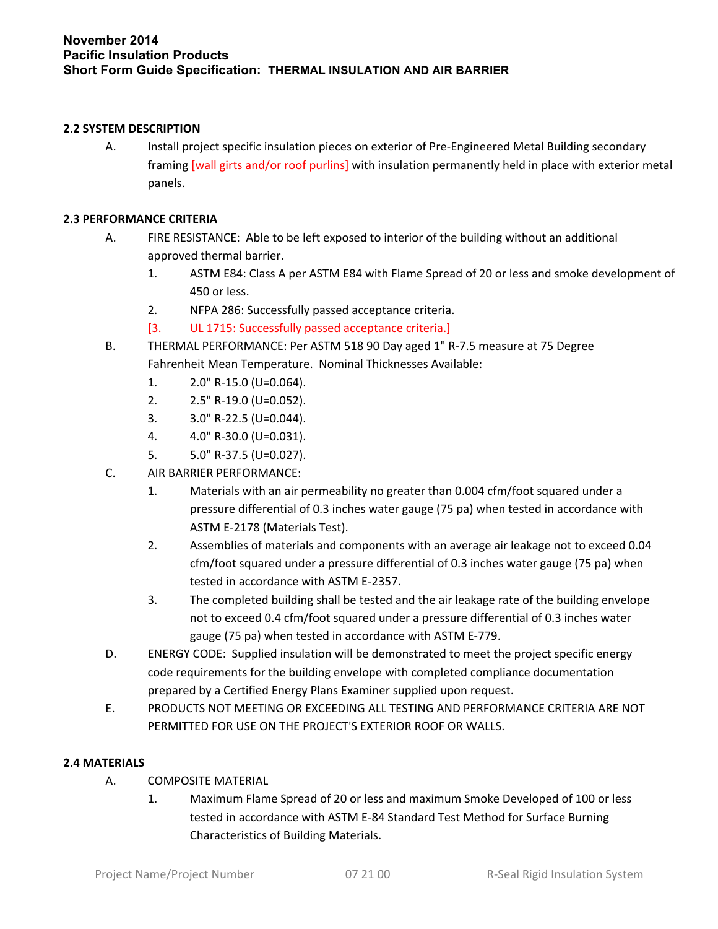### **2.2 SYSTEM DESCRIPTION**

A. Install project specific insulation pieces on exterior of Pre-Engineered Metal Building secondary framing [wall girts and/or roof purlins] with insulation permanently held in place with exterior metal panels.

### **2.3 PERFORMANCE CRITERIA**

- A. FIRE RESISTANCE: Able to be left exposed to interior of the building without an additional approved thermal barrier.
	- 1. ASTM E84: Class A per ASTM E84 with Flame Spread of 20 or less and smoke development of 450 or less.
	- 2. NFPA 286: Successfully passed acceptance criteria.
	- [3. UL 1715: Successfully passed acceptance criteria.]
- B. THERMAL PERFORMANCE: Per ASTM 518 90 Day aged 1" R-7.5 measure at 75 Degree Fahrenheit Mean Temperature. Nominal Thicknesses Available:
	- 1. 2.0" R-15.0 (U=0.064).
	- 2. 2.5" R-19.0 (U=0.052).
	- 3. 3.0" R-22.5 (U=0.044).
	- 4. 4.0" R-30.0 (U=0.031).
	- 5. 5.0" R-37.5 (U=0.027).
- C. AIR BARRIER PERFORMANCE:
	- 1. Materials with an air permeability no greater than 0.004 cfm/foot squared under a pressure differential of 0.3 inches water gauge (75 pa) when tested in accordance with ASTM E-2178 (Materials Test).
	- 2. Assemblies of materials and components with an average air leakage not to exceed 0.04 cfm/foot squared under a pressure differential of 0.3 inches water gauge (75 pa) when tested in accordance with ASTM E-2357.
	- 3. The completed building shall be tested and the air leakage rate of the building envelope not to exceed 0.4 cfm/foot squared under a pressure differential of 0.3 inches water gauge (75 pa) when tested in accordance with ASTM E-779.
- D. ENERGY CODE: Supplied insulation will be demonstrated to meet the project specific energy code requirements for the building envelope with completed compliance documentation prepared by a Certified Energy Plans Examiner supplied upon request.
- E. PRODUCTS NOT MEETING OR EXCEEDING ALL TESTING AND PERFORMANCE CRITERIA ARE NOT PERMITTED FOR USE ON THE PROJECT'S EXTERIOR ROOF OR WALLS.

#### **2.4 MATERIALS**

- A. COMPOSITE MATERIAL
	- 1. Maximum Flame Spread of 20 or less and maximum Smoke Developed of 100 or less tested in accordance with ASTM E-84 Standard Test Method for Surface Burning Characteristics of Building Materials.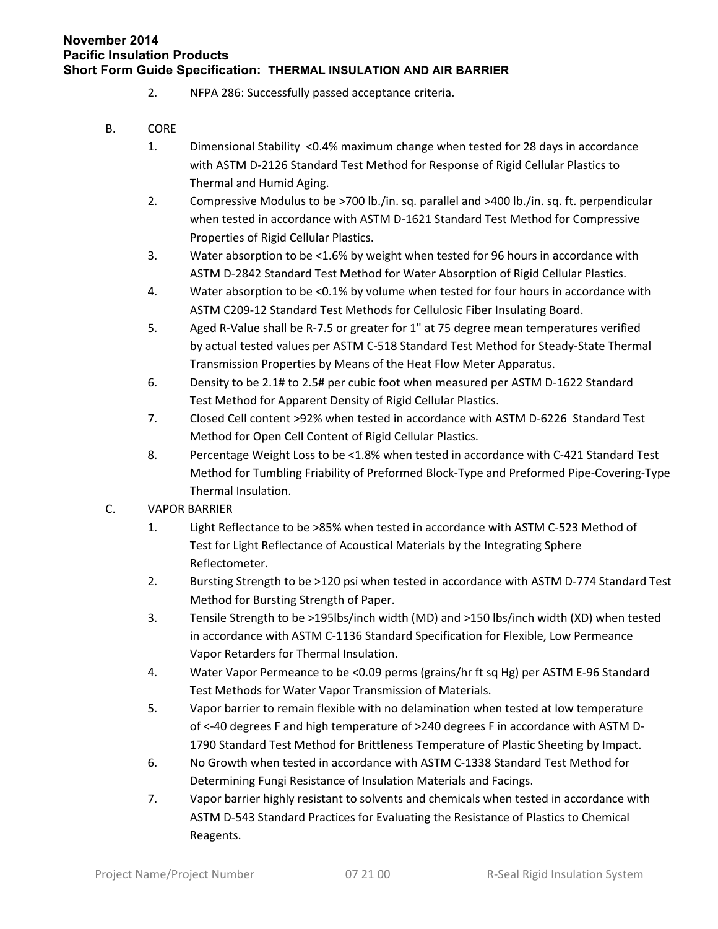- 2. NFPA 286: Successfully passed acceptance criteria.
- B. CORE
	- 1. Dimensional Stability <0.4% maximum change when tested for 28 days in accordance with ASTM D-2126 Standard Test Method for Response of Rigid Cellular Plastics to Thermal and Humid Aging.
	- 2. Compressive Modulus to be >700 lb./in. sq. parallel and >400 lb./in. sq. ft. perpendicular when tested in accordance with ASTM D-1621 Standard Test Method for Compressive Properties of Rigid Cellular Plastics.
	- 3. Water absorption to be <1.6% by weight when tested for 96 hours in accordance with ASTM D-2842 Standard Test Method for Water Absorption of Rigid Cellular Plastics.
	- 4. Water absorption to be <0.1% by volume when tested for four hours in accordance with ASTM C209-12 Standard Test Methods for Cellulosic Fiber Insulating Board.
	- 5. Aged R-Value shall be R-7.5 or greater for 1" at 75 degree mean temperatures verified by actual tested values per ASTM C-518 Standard Test Method for Steady-State Thermal Transmission Properties by Means of the Heat Flow Meter Apparatus.
	- 6. Density to be 2.1# to 2.5# per cubic foot when measured per ASTM D-1622 Standard Test Method for Apparent Density of Rigid Cellular Plastics.
	- 7. Closed Cell content >92% when tested in accordance with ASTM D-6226 Standard Test Method for Open Cell Content of Rigid Cellular Plastics.
	- 8. Percentage Weight Loss to be <1.8% when tested in accordance with C-421 Standard Test Method for Tumbling Friability of Preformed Block-Type and Preformed Pipe-Covering-Type Thermal Insulation.
- C. VAPOR BARRIER
	- 1. Light Reflectance to be >85% when tested in accordance with ASTM C-523 Method of Test for Light Reflectance of Acoustical Materials by the Integrating Sphere Reflectometer.
	- 2. Bursting Strength to be >120 psi when tested in accordance with ASTM D-774 Standard Test Method for Bursting Strength of Paper.
	- 3. Tensile Strength to be >195lbs/inch width (MD) and >150 lbs/inch width (XD) when tested in accordance with ASTM C-1136 Standard Specification for Flexible, Low Permeance Vapor Retarders for Thermal Insulation.
	- 4. Water Vapor Permeance to be <0.09 perms (grains/hr ft sq Hg) per ASTM E-96 Standard Test Methods for Water Vapor Transmission of Materials.
	- 5. Vapor barrier to remain flexible with no delamination when tested at low temperature of <-40 degrees F and high temperature of >240 degrees F in accordance with ASTM D-1790 Standard Test Method for Brittleness Temperature of Plastic Sheeting by Impact.
	- 6. No Growth when tested in accordance with ASTM C-1338 Standard Test Method for Determining Fungi Resistance of Insulation Materials and Facings.
	- 7. Vapor barrier highly resistant to solvents and chemicals when tested in accordance with ASTM D-543 Standard Practices for Evaluating the Resistance of Plastics to Chemical Reagents.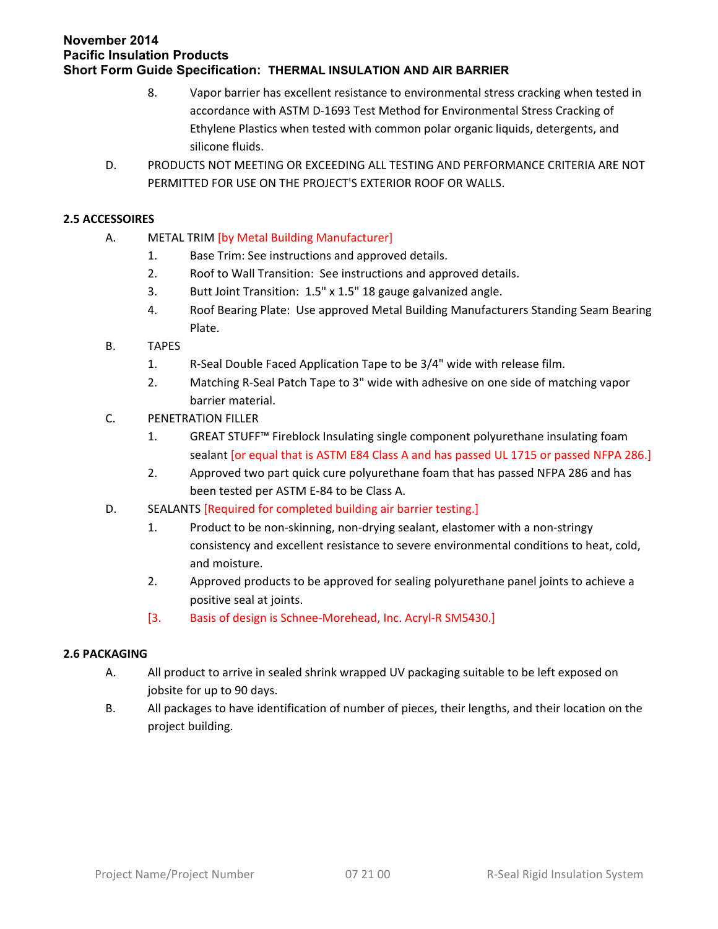- 8. Vapor barrier has excellent resistance to environmental stress cracking when tested in accordance with ASTM D-1693 Test Method for Environmental Stress Cracking of Ethylene Plastics when tested with common polar organic liquids, detergents, and silicone fluids.
- D. PRODUCTS NOT MEETING OR EXCEEDING ALL TESTING AND PERFORMANCE CRITERIA ARE NOT PERMITTED FOR USE ON THE PROJECT'S EXTERIOR ROOF OR WALLS.

## **2.5 ACCESSOIRES**

- A. METAL TRIM [by Metal Building Manufacturer]
	- 1. Base Trim: See instructions and approved details.
	- 2. Roof to Wall Transition: See instructions and approved details.
	- 3. Butt Joint Transition: 1.5" x 1.5" 18 gauge galvanized angle.
	- 4. Roof Bearing Plate: Use approved Metal Building Manufacturers Standing Seam Bearing Plate.
- B. TAPES
	- 1. R-Seal Double Faced Application Tape to be 3/4" wide with release film.
	- 2. Matching R-Seal Patch Tape to 3" wide with adhesive on one side of matching vapor barrier material.
- C. PENETRATION FILLER
	- 1. GREAT STUFF™ Fireblock Insulating single component polyurethane insulating foam sealant [or equal that is ASTM E84 Class A and has passed UL 1715 or passed NFPA 286.]
	- 2. Approved two part quick cure polyurethane foam that has passed NFPA 286 and has been tested per ASTM E-84 to be Class A.
- D. SEALANTS [Required for completed building air barrier testing.]
	- 1. Product to be non-skinning, non-drying sealant, elastomer with a non-stringy consistency and excellent resistance to severe environmental conditions to heat, cold, and moisture.
	- 2. Approved products to be approved for sealing polyurethane panel joints to achieve a positive seal at joints.
	- [3. Basis of design is Schnee-Morehead, Inc. Acryl-R SM5430.]

## **2.6 PACKAGING**

- A. All product to arrive in sealed shrink wrapped UV packaging suitable to be left exposed on jobsite for up to 90 days.
- B. All packages to have identification of number of pieces, their lengths, and their location on the project building.